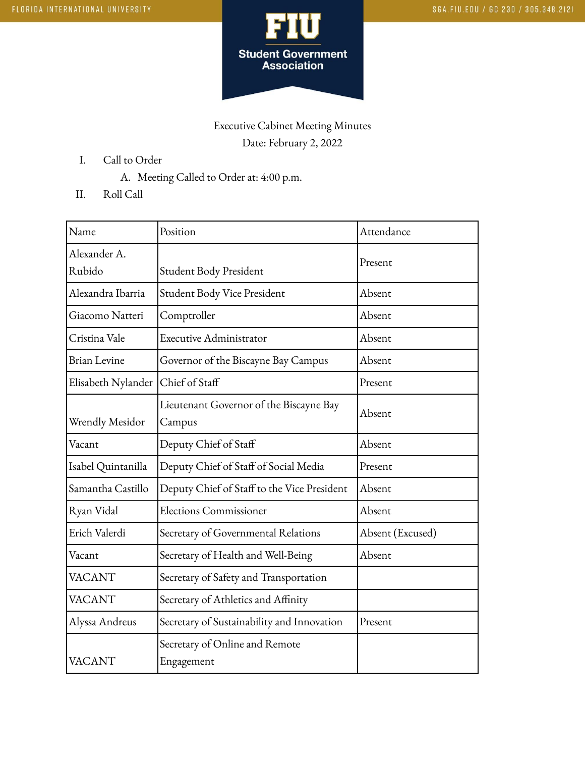

## Executive Cabinet Meeting Minutes Date: February 2, 2022

- I. Call to Order
	- A. Meeting Called to Order at: 4:00 p.m.
- II. Roll Call

| Name                | Position                                     | Attendance       |
|---------------------|----------------------------------------------|------------------|
| Alexander A.        |                                              | Present          |
| Rubido              | Student Body President                       |                  |
| Alexandra Ibarria   | Student Body Vice President                  | Absent           |
| Giacomo Natteri     | Comptroller                                  | Absent           |
| Cristina Vale       | Executive Administrator                      | Absent           |
| <b>Brian Levine</b> | Governor of the Biscayne Bay Campus          | Absent           |
| Elisabeth Nylander  | Chief of Staff                               | Present          |
|                     | Lieutenant Governor of the Biscayne Bay      | Absent           |
| Wrendly Mesidor     | Campus                                       |                  |
| Vacant              | Deputy Chief of Staff                        | Absent           |
| Isabel Quintanilla  | Deputy Chief of Staff of Social Media        | Present          |
| Samantha Castillo   | Deputy Chief of Staff to the Vice President  | Absent           |
| Ryan Vidal          | <b>Elections Commissioner</b>                | Absent           |
| Erich Valerdi       | Secretary of Governmental Relations          | Absent (Excused) |
| Vacant              | Secretary of Health and Well-Being           | Absent           |
| <b>VACANT</b>       | Secretary of Safety and Transportation       |                  |
| <b>VACANT</b>       | Secretary of Athletics and Affinity          |                  |
| Alyssa Andreus      | Secretary of Sustainability and Innovation   | Present          |
| <b>VACANT</b>       | Secretary of Online and Remote<br>Engagement |                  |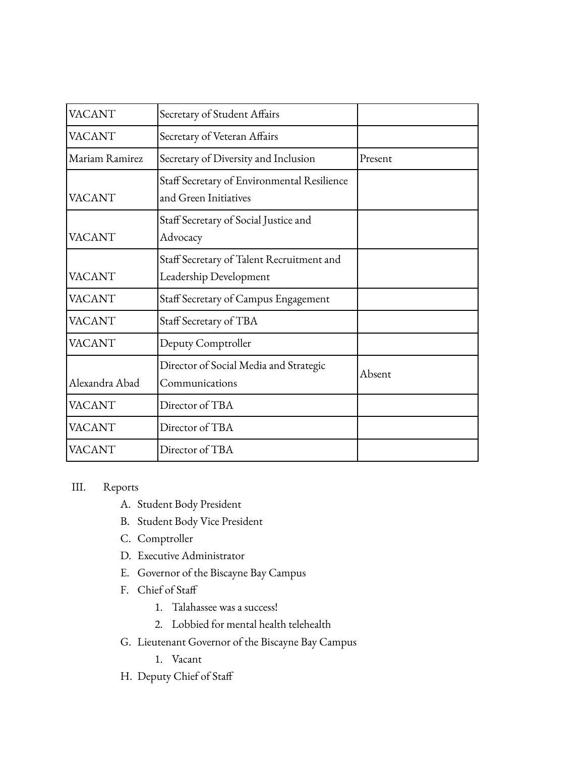| <b>VACANT</b>  | Secretary of Student Affairs                                         |         |
|----------------|----------------------------------------------------------------------|---------|
| VACANT         | Secretary of Veteran Affairs                                         |         |
| Mariam Ramirez | Secretary of Diversity and Inclusion                                 | Present |
| VACANT         | Staff Secretary of Environmental Resilience<br>and Green Initiatives |         |
| VACANT         | Staff Secretary of Social Justice and<br>Advocacy                    |         |
| <b>VACANT</b>  | Staff Secretary of Talent Recruitment and<br>Leadership Development  |         |
| VACANT         | Staff Secretary of Campus Engagement                                 |         |
| VACANT         | Staff Secretary of TBA                                               |         |
| <b>VACANT</b>  | Deputy Comptroller                                                   |         |
| Alexandra Abad | Director of Social Media and Strategic<br>Communications             | Absent  |
| VACANT         | Director of TBA                                                      |         |
| VACANT         | Director of TBA                                                      |         |
| VACANT         | Director of TBA                                                      |         |

## III. Reports

- A. Student Body President
- B. Student Body Vice President
- C. Comptroller
- D. Executive Administrator
- E. Governor of the Biscayne Bay Campus
- F. Chief of Staff
	- 1. Talahassee was a success!
	- 2. Lobbied for mental health telehealth
- G. Lieutenant Governor of the Biscayne Bay Campus
	- 1. Vacant
- H. Deputy Chief of Staff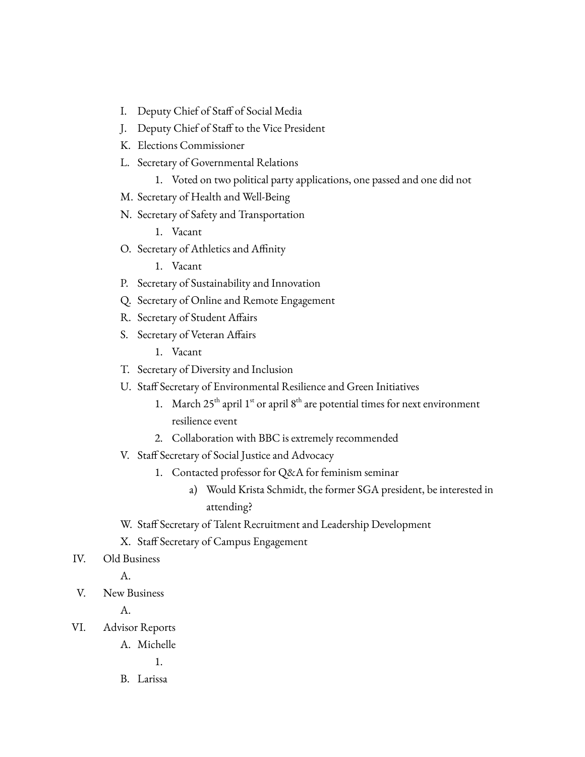- I. Deputy Chief of Staff of Social Media
- J. Deputy Chief of Staff to the Vice President
- K. Elections Commissioner
- L. Secretary of Governmental Relations
	- 1. Voted on two political party applications, one passed and one did not
- M. Secretary of Health and Well-Being
- N. Secretary of Safety and Transportation
	- 1. Vacant
- O. Secretary of Athletics and Affinity

1. Vacant

- P. Secretary of Sustainability and Innovation
- Q. Secretary of Online and Remote Engagement
- R. Secretary of Student Affairs
- S. Secretary of Veteran Affairs
	- 1. Vacant
- T. Secretary of Diversity and Inclusion
- U. Staff Secretary of Environmental Resilience and Green Initiatives
	- 1. March  $25<sup>th</sup>$  april  $1<sup>st</sup>$  or april  $8<sup>th</sup>$  are potential times for next environment resilience event
	- 2. Collaboration with BBC is extremely recommended
- V. Staff Secretary of Social Justice and Advocacy
	- 1. Contacted professor for Q&A for feminism seminar
		- a) Would Krista Schmidt, the former SGA president, be interested in attending?
- W. Staff Secretary of Talent Recruitment and Leadership Development
- X. Staff Secretary of Campus Engagement
- IV. Old Business

A.

V. New Business

A.

VI. Advisor Reports

A. Michelle

1.

B. Larissa